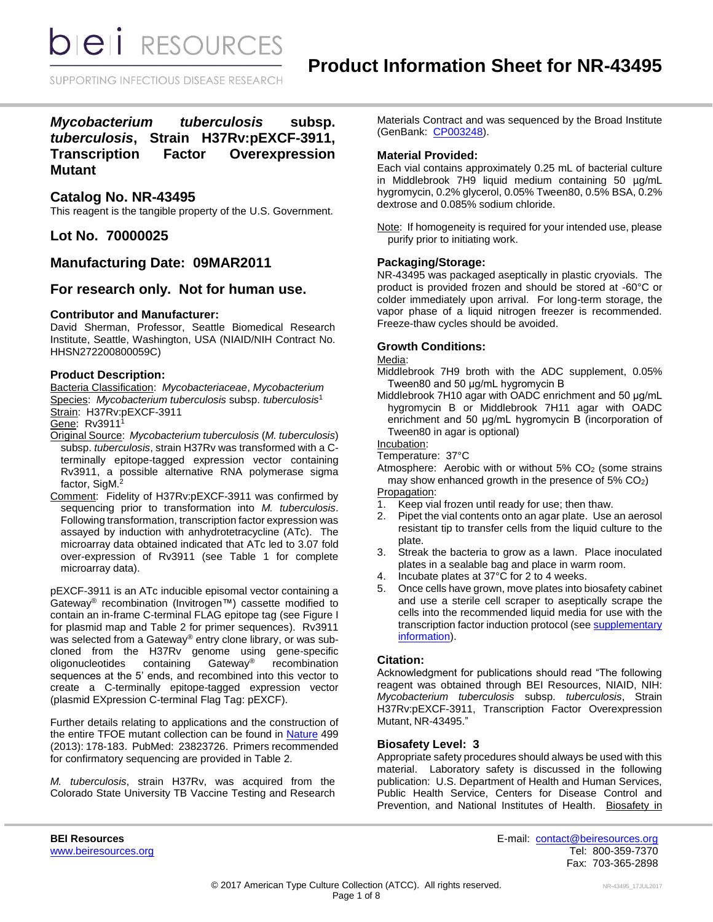SUPPORTING INFECTIOUS DISEASE RESEARCH

*Mycobacterium tuberculosis* **subsp.**  *tuberculosis***, Strain H37Rv:pEXCF-3911, Transcription Factor Overexpression Mutant**

## **Catalog No. NR-43495**

This reagent is the tangible property of the U.S. Government.

**Lot No. 70000025**

## **Manufacturing Date: 09MAR2011**

## **For research only. Not for human use.**

### **Contributor and Manufacturer:**

David Sherman, Professor, Seattle Biomedical Research Institute, Seattle, Washington, USA (NIAID/NIH Contract No. HHSN272200800059C)

### **Product Description:**

Bacteria Classification: *Mycobacteriaceae*, *Mycobacterium* Species: *Mycobacterium tuberculosis* subsp. *tuberculosis*<sup>1</sup> Strain: H37Rv:pEXCF-3911

Gene: Rv3911<sup>1</sup>

- Original Source: *Mycobacterium tuberculosis* (*M. tuberculosis*) subsp. *tuberculosis*, strain H37Rv was transformed with a Cterminally epitope-tagged expression vector containing Rv3911, a possible alternative RNA polymerase sigma factor, SigM.<sup>2</sup>
- Comment: Fidelity of H37Rv:pEXCF-3911 was confirmed by sequencing prior to transformation into *M. tuberculosis*. Following transformation, transcription factor expression was assayed by induction with anhydrotetracycline (ATc). The microarray data obtained indicated that ATc led to 3.07 fold over-expression of Rv3911 (see Table 1 for complete microarray data).

pEXCF-3911 is an ATc inducible episomal vector containing a Gateway® recombination (Invitrogen™) cassette modified to contain an in-frame C-terminal FLAG epitope tag (see Figure I for plasmid map and Table 2 for primer sequences). Rv3911 was selected from a Gateway® entry clone library, or was subcloned from the H37Rv genome using gene-specific oligonucleotides containing Gateway® recombination sequences at the 5' ends, and recombined into this vector to create a C-terminally epitope-tagged expression vector (plasmid EXpression C-terminal Flag Tag: pEXCF).

Further details relating to applications and the construction of the entire TFOE mutant collection can be found in [Nature](http://www.nature.com/nature/journal/v499/n7457/full/nature12337.html) 499 (2013): 178-183. PubMed: 23823726. Primers recommended for confirmatory sequencing are provided in Table 2.

*M. tuberculosis*, strain H37Rv, was acquired from the Colorado State University TB Vaccine Testing and Research Materials Contract and was sequenced by the Broad Institute (GenBank: [CP003248\)](http://www.ncbi.nlm.nih.gov/nuccore/CP003248).

### **Material Provided:**

Each vial contains approximately 0.25 mL of bacterial culture in Middlebrook 7H9 liquid medium containing 50 µg/mL hygromycin, 0.2% glycerol, 0.05% Tween80, 0.5% BSA, 0.2% dextrose and 0.085% sodium chloride.

Note: If homogeneity is required for your intended use, please purify prior to initiating work.

### **Packaging/Storage:**

NR-43495 was packaged aseptically in plastic cryovials. The product is provided frozen and should be stored at -60°C or colder immediately upon arrival. For long-term storage, the vapor phase of a liquid nitrogen freezer is recommended. Freeze-thaw cycles should be avoided.

## **Growth Conditions:**

#### Media:

Middlebrook 7H9 broth with the ADC supplement, 0.05% Tween80 and 50 μg/mL hygromycin B

Middlebrook 7H10 agar with OADC enrichment and 50 μg/mL hygromycin B or Middlebrook 7H11 agar with OADC enrichment and 50 μg/mL hygromycin B (incorporation of Tween80 in agar is optional)

Incubation:

Temperature: 37°C

Atmosphere: Aerobic with or without  $5\%$  CO<sub>2</sub> (some strains may show enhanced growth in the presence of  $5\%$  CO<sub>2</sub>) Propagation:

- 1. Keep vial frozen until ready for use; then thaw.
- 2. Pipet the vial contents onto an agar plate. Use an aerosol resistant tip to transfer cells from the liquid culture to the plate.
- 3. Streak the bacteria to grow as a lawn. Place inoculated plates in a sealable bag and place in warm room.
- 4. Incubate plates at 37°C for 2 to 4 weeks.
- 5. Once cells have grown, move plates into biosafety cabinet and use a sterile cell scraper to aseptically scrape the cells into the recommended liquid media for use with the transcription factor induction protocol (see [supplementary](http://www.nature.com/nature/journal/v499/n7457/extref/nature12337-s1.pdf)  [information\)](http://www.nature.com/nature/journal/v499/n7457/extref/nature12337-s1.pdf).

#### **Citation:**

Acknowledgment for publications should read "The following reagent was obtained through BEI Resources, NIAID, NIH: *Mycobacterium tuberculosis* subsp. *tuberculosis*, Strain H37Rv:pEXCF-3911, Transcription Factor Overexpression Mutant, NR-43495."

#### **Biosafety Level: 3**

Appropriate safety procedures should always be used with this material. Laboratory safety is discussed in the following publication: U.S. Department of Health and Human Services, Public Health Service, Centers for Disease Control and Prevention, and National Institutes of Health. Biosafety in

**BEI Resources** E-mail: [contact@beiresources.org](mailto:contact@beiresources.org) [www.beiresources.org](http://www.beiresources.org/) **Tel: 800-359-7370** Fax: 703-365-2898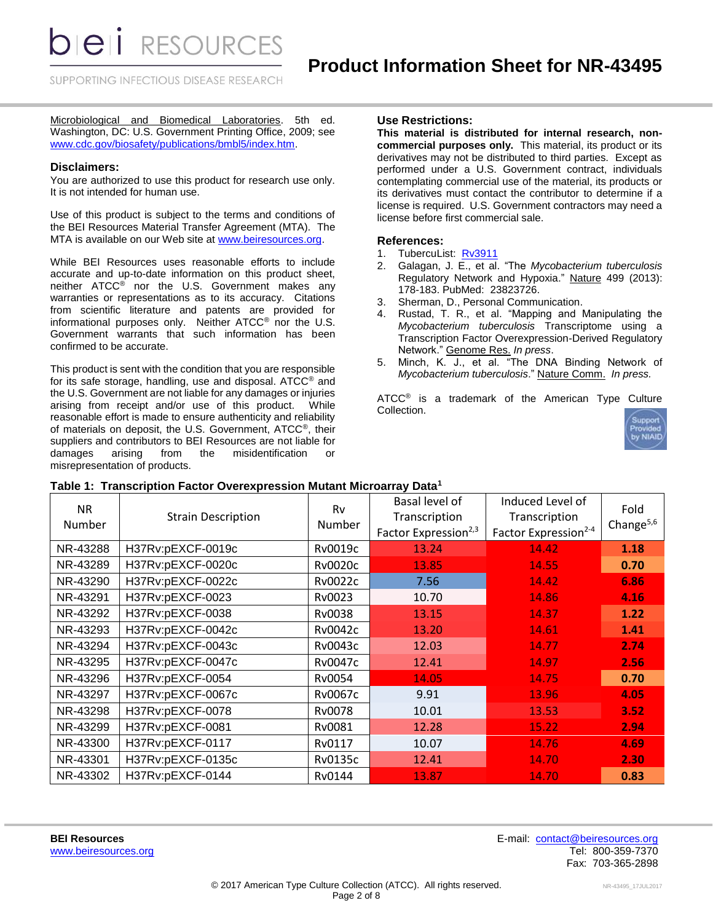*DIEI RESOURCES* 

SUPPORTING INFECTIOUS DISEASE RESEARCH

Microbiological and Biomedical Laboratories. 5th ed. Washington, DC: U.S. Government Printing Office, 2009; see [www.cdc.gov/biosafety/publications/bmbl5/index.htm.](http://www.cdc.gov/biosafety/publications/bmbl5/index.htm)

#### **Disclaimers:**

You are authorized to use this product for research use only. It is not intended for human use.

Use of this product is subject to the terms and conditions of the BEI Resources Material Transfer Agreement (MTA). The MTA is available on our Web site at [www.beiresources.org.](http://www.beiresources.org/)

While BEI Resources uses reasonable efforts to include accurate and up-to-date information on this product sheet, neither ATCC® nor the U.S. Government makes any warranties or representations as to its accuracy. Citations from scientific literature and patents are provided for informational purposes only. Neither ATCC® nor the U.S. Government warrants that such information has been confirmed to be accurate.

This product is sent with the condition that you are responsible for its safe storage, handling, use and disposal. ATCC® and the U.S. Government are not liable for any damages or injuries arising from receipt and/or use of this product. While reasonable effort is made to ensure authenticity and reliability of materials on deposit, the U.S. Government, ATCC®, their suppliers and contributors to BEI Resources are not liable for damages arising from the misidentification or misrepresentation of products.

#### **Use Restrictions:**

**This material is distributed for internal research, noncommercial purposes only.** This material, its product or its derivatives may not be distributed to third parties. Except as performed under a U.S. Government contract, individuals contemplating commercial use of the material, its products or its derivatives must contact the contributor to determine if a license is required. U.S. Government contractors may need a license before first commercial sale.

#### **References:**

- 1. TubercuList: [Rv3911](http://tuberculist.epfl.ch/quicksearch.php?gene+name=Rv3911)
- 2. Galagan, J. E., et al. "The *Mycobacterium tuberculosis* Regulatory Network and Hypoxia." Nature 499 (2013): 178-183. PubMed: 23823726.
- 3. Sherman, D., Personal Communication.
- 4. Rustad, T. R., et al. "Mapping and Manipulating the *Mycobacterium tuberculosis* Transcriptome using a Transcription Factor Overexpression-Derived Regulatory Network." Genome Res. *In press*.
- 5. Minch, K. J., et al. "The DNA Binding Network of *Mycobacterium tuberculosis*." Nature Comm. *In press.*

ATCC<sup>®</sup> is a trademark of the American Type Culture Collection.



| <b>NR</b><br>Number | <b>Strain Description</b> | Rv<br>Number   | Basal level of<br>Transcription<br>Factor Expression <sup>2,3</sup> | Induced Level of<br>Transcription<br>Factor Expression <sup>2-4</sup> | Fold<br>Change $5,6$ |
|---------------------|---------------------------|----------------|---------------------------------------------------------------------|-----------------------------------------------------------------------|----------------------|
| NR-43288            | H37Rv:pEXCF-0019c         | Rv0019c        | 13.24                                                               | 14.42                                                                 | 1.18                 |
| NR-43289            | H37Rv:pEXCF-0020c         | <b>Rv0020c</b> | 13.85                                                               | 14.55                                                                 | 0.70                 |
| NR-43290            | H37Rv:pEXCF-0022c         | Rv0022c        | 7.56                                                                | 14.42                                                                 | 6.86                 |
| NR-43291            | H37Rv:pEXCF-0023          | Rv0023         | 10.70                                                               | 14.86                                                                 | 4.16                 |
| NR-43292            | H37Rv:pEXCF-0038          | Rv0038         | 13.15                                                               | 14.37                                                                 | 1.22                 |
| NR-43293            | H37Rv:pEXCF-0042c         | Rv0042c        | 13.20                                                               | 14.61                                                                 | 1.41                 |
| NR-43294            | H37Rv:pEXCF-0043c         | Rv0043c        | 12.03                                                               | 14.77                                                                 | 2.74                 |
| NR-43295            | H37Rv:pEXCF-0047c         | <b>Rv0047c</b> | 12.41                                                               | 14.97                                                                 | 2.56                 |
| NR-43296            | H37Rv:pEXCF-0054          | Rv0054         | 14.05                                                               | 14.75                                                                 | 0.70                 |
| NR-43297            | H37Rv:pEXCF-0067c         | Rv0067c        | 9.91                                                                | 13.96                                                                 | 4.05                 |
| NR-43298            | H37Rv:pEXCF-0078          | Rv0078         | 10.01                                                               | 13.53                                                                 | 3.52                 |
| NR-43299            | H37Rv:pEXCF-0081          | Rv0081         | 12.28                                                               | 15.22                                                                 | 2.94                 |
| NR-43300            | H37Rv:pEXCF-0117          | Rv0117         | 10.07                                                               | 14.76                                                                 | 4.69                 |
| NR-43301            | H37Rv:pEXCF-0135c         | <b>Rv0135c</b> | 12.41                                                               | 14.70                                                                 | 2.30                 |
| NR-43302            | H37Rv:pEXCF-0144          | Rv0144         | 13.87                                                               | 14.70                                                                 | 0.83                 |

#### **Table 1: Transcription Factor Overexpression Mutant Microarray Data<sup>1</sup>**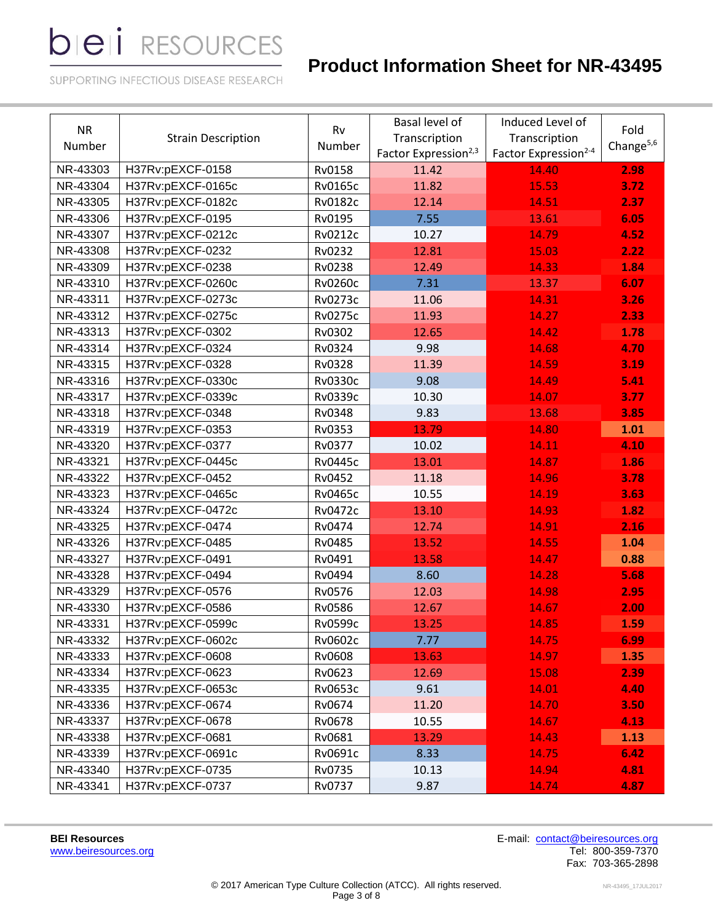# **Product Information Sheet for NR-43495**

SUPPORTING INFECTIOUS DISEASE RESEARCH

| <b>NR</b><br>Number | <b>Strain Description</b> | Basal level of<br>Rv<br>Transcription<br>Number<br>Factor Expression <sup>2,3</sup> |       | Induced Level of<br>Transcription<br>Factor Expression <sup>2-4</sup> | Fold<br>Change <sup>5,6</sup> |
|---------------------|---------------------------|-------------------------------------------------------------------------------------|-------|-----------------------------------------------------------------------|-------------------------------|
| NR-43303            | H37Rv:pEXCF-0158          | Rv0158                                                                              | 11.42 | 14.40                                                                 | 2.98                          |
| NR-43304            | H37Rv:pEXCF-0165c         | <b>Rv0165c</b>                                                                      | 11.82 | 15.53                                                                 | 3.72                          |
| NR-43305            | H37Rv:pEXCF-0182c         | Rv0182c                                                                             | 12.14 | 14.51                                                                 | 2.37                          |
| NR-43306            | H37Rv:pEXCF-0195          | Rv0195                                                                              | 7.55  | 13.61                                                                 | 6.05                          |
| NR-43307            | H37Rv:pEXCF-0212c         | Rv0212c                                                                             | 10.27 | 14.79                                                                 | 4.52                          |
| NR-43308            | H37Rv:pEXCF-0232          | Rv0232                                                                              | 12.81 | 15.03                                                                 | 2.22                          |
| NR-43309            | H37Rv:pEXCF-0238          | Rv0238                                                                              | 12.49 | 14.33                                                                 | 1.84                          |
| NR-43310            | H37Rv:pEXCF-0260c         | <b>Rv0260c</b>                                                                      | 7.31  | 13.37                                                                 | 6.07                          |
| NR-43311            | H37Rv:pEXCF-0273c         | <b>Rv0273c</b>                                                                      | 11.06 | 14.31                                                                 | 3.26                          |
| NR-43312            | H37Rv:pEXCF-0275c         | <b>Rv0275c</b>                                                                      | 11.93 | 14.27                                                                 | 2.33                          |
| NR-43313            | H37Rv:pEXCF-0302          | Rv0302                                                                              | 12.65 | 14.42                                                                 | 1.78                          |
| NR-43314            | H37Rv:pEXCF-0324          | Rv0324                                                                              | 9.98  | 14.68                                                                 | 4.70                          |
| NR-43315            | H37Rv:pEXCF-0328          | Rv0328                                                                              | 11.39 | 14.59                                                                 | 3.19                          |
| NR-43316            | H37Rv:pEXCF-0330c         | Rv0330c                                                                             | 9.08  | 14.49                                                                 | 5.41                          |
| NR-43317            | H37Rv:pEXCF-0339c         | Rv0339c                                                                             | 10.30 | 14.07                                                                 | 3.77                          |
| NR-43318            | H37Rv:pEXCF-0348          | Rv0348                                                                              | 9.83  | 13.68                                                                 | 3.85                          |
| NR-43319            | H37Rv:pEXCF-0353          | Rv0353                                                                              | 13.79 | 14.80                                                                 | 1.01                          |
| NR-43320            | H37Rv:pEXCF-0377          | Rv0377                                                                              | 10.02 | 14.11                                                                 | 4.10                          |
| NR-43321            | H37Rv:pEXCF-0445c         | <b>Rv0445c</b>                                                                      | 13.01 | 14.87                                                                 | 1.86                          |
| NR-43322            | H37Rv:pEXCF-0452          | Rv0452                                                                              | 11.18 | 14.96                                                                 | 3.78                          |
| NR-43323            | H37Rv:pEXCF-0465c         | <b>Rv0465c</b>                                                                      | 10.55 | 14.19                                                                 | 3.63                          |
| NR-43324            | H37Rv:pEXCF-0472c         | <b>Rv0472c</b>                                                                      | 13.10 | 14.93                                                                 | 1.82                          |
| NR-43325            | H37Rv:pEXCF-0474          | Rv0474                                                                              | 12.74 | 14.91                                                                 | 2.16                          |
| NR-43326            | H37Rv:pEXCF-0485          | Rv0485                                                                              | 13.52 | 14.55                                                                 | 1.04                          |
| NR-43327            | H37Rv:pEXCF-0491          | Rv0491                                                                              | 13.58 | 14.47                                                                 | 0.88                          |
| NR-43328            | H37Rv:pEXCF-0494          | Rv0494                                                                              | 8.60  | 14.28                                                                 | 5.68                          |
| NR-43329            | H37Rv:pEXCF-0576          | Rv0576                                                                              | 12.03 | 14.98                                                                 | 2.95                          |
| NR-43330            | H37Rv:pEXCF-0586          | Rv0586                                                                              | 12.67 | 14.67                                                                 | 2.00                          |
| NR-43331            | H37Rv:pEXCF-0599c         | Rv0599c                                                                             | 13.25 | 14.85                                                                 | 1.59                          |
| NR-43332            | H37Rv:pEXCF-0602c         | Rv0602c                                                                             | 7.77  | 14.75                                                                 | 6.99                          |
| NR-43333            | H37Rv:pEXCF-0608          | Rv0608                                                                              | 13.63 | 14.97                                                                 | 1.35                          |
| NR-43334            | H37Rv:pEXCF-0623          | Rv0623                                                                              | 12.69 | 15.08                                                                 | 2.39                          |
| NR-43335            | H37Rv:pEXCF-0653c         | Rv0653c                                                                             | 9.61  | 14.01                                                                 | 4.40                          |
| NR-43336            | H37Rv:pEXCF-0674          | Rv0674                                                                              | 11.20 | 14.70                                                                 | 3.50                          |
| NR-43337            | H37Rv:pEXCF-0678          | Rv0678                                                                              | 10.55 | 14.67                                                                 | 4.13                          |
| NR-43338            | H37Rv:pEXCF-0681          | Rv0681                                                                              | 13.29 | 14.43                                                                 | 1.13                          |
| NR-43339            | H37Rv:pEXCF-0691c         | Rv0691c                                                                             | 8.33  | 14.75                                                                 | 6.42                          |
| NR-43340            | H37Rv:pEXCF-0735          | Rv0735                                                                              | 10.13 | 14.94                                                                 | 4.81                          |
| NR-43341            | H37Rv:pEXCF-0737          | Rv0737                                                                              | 9.87  | 14.74                                                                 | 4.87                          |

[www.beiresources.org](http://www.beiresources.org/)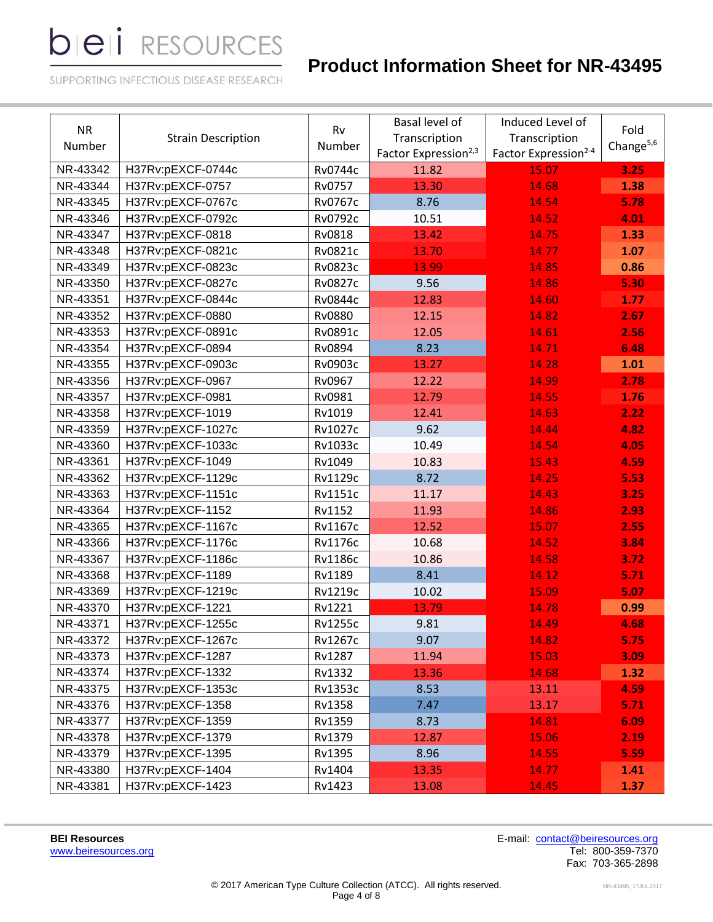# **Product Information Sheet for NR-43495**

SUPPORTING INFECTIOUS DISEASE RESEARCH

| <b>NR</b><br>Number | <b>Strain Description</b> | Basal level of<br>Rv<br>Transcription<br>Number<br>Factor Expression <sup>2,3</sup> |       | Induced Level of<br>Transcription<br>Factor Expression <sup>2-4</sup> | Fold<br>Change <sup>5,6</sup> |
|---------------------|---------------------------|-------------------------------------------------------------------------------------|-------|-----------------------------------------------------------------------|-------------------------------|
| NR-43342            | H37Rv:pEXCF-0744c         | Rv0744c                                                                             | 11.82 | 15.07                                                                 | 3.25                          |
| NR-43344            | H37Rv:pEXCF-0757          | Rv0757                                                                              | 13.30 | 14.68                                                                 | 1.38                          |
| NR-43345            | H37Rv:pEXCF-0767c         | Rv0767c                                                                             | 8.76  | 14.54                                                                 | 5.78                          |
| NR-43346            | H37Rv:pEXCF-0792c         | Rv0792c                                                                             | 10.51 | 14.52                                                                 | 4.01                          |
| NR-43347            | H37Rv:pEXCF-0818          | Rv0818                                                                              | 13.42 | 14.75                                                                 | 1.33                          |
| NR-43348            | H37Rv:pEXCF-0821c         | Rv0821c                                                                             | 13.70 | 14.77                                                                 | 1.07                          |
| NR-43349            | H37Rv:pEXCF-0823c         | Rv0823c                                                                             | 13.99 | 14.85                                                                 | 0.86                          |
| NR-43350            | H37Rv:pEXCF-0827c         | <b>Rv0827c</b>                                                                      | 9.56  | 14.86                                                                 | 5.30                          |
| NR-43351            | H37Rv:pEXCF-0844c         | Rv0844c                                                                             | 12.83 | 14.60                                                                 | 1.77                          |
| NR-43352            | H37Rv:pEXCF-0880          | Rv0880                                                                              | 12.15 | 14.82                                                                 | 2.67                          |
| NR-43353            | H37Rv:pEXCF-0891c         | Rv0891c                                                                             | 12.05 | 14.61                                                                 | 2.56                          |
| NR-43354            | H37Rv:pEXCF-0894          | Rv0894                                                                              | 8.23  | 14.71                                                                 | 6.48                          |
| NR-43355            | H37Rv:pEXCF-0903c         | Rv0903c                                                                             | 13.27 | 14.28                                                                 | 1.01                          |
| NR-43356            | H37Rv:pEXCF-0967          | Rv0967                                                                              | 12.22 | 14.99                                                                 | 2.78                          |
| NR-43357            | H37Rv:pEXCF-0981          | Rv0981                                                                              | 12.79 | 14.55                                                                 | 1.76                          |
| NR-43358            | H37Rv:pEXCF-1019          | Rv1019                                                                              | 12.41 | 14.63                                                                 | 2.22                          |
| NR-43359            | H37Rv:pEXCF-1027c         | Rv1027c                                                                             | 9.62  | 14.44                                                                 | 4.82                          |
| NR-43360            | H37Rv:pEXCF-1033c         | Rv1033c                                                                             | 10.49 | 14.54                                                                 | 4.05                          |
| NR-43361            | H37Rv:pEXCF-1049          | Rv1049                                                                              | 10.83 | 15.43                                                                 | 4.59                          |
| NR-43362            | H37Rv:pEXCF-1129c         | <b>Rv1129c</b>                                                                      | 8.72  | 14.25                                                                 | 5.53                          |
| NR-43363            | H37Rv:pEXCF-1151c         | <b>Rv1151c</b>                                                                      | 11.17 | 14.43                                                                 | 3.25                          |
| NR-43364            | H37Rv:pEXCF-1152          | Rv1152                                                                              | 11.93 | 14.86                                                                 | 2.93                          |
| NR-43365            | H37Rv:pEXCF-1167c         | Rv1167c                                                                             | 12.52 | 15.07                                                                 | 2.55                          |
| NR-43366            | H37Rv:pEXCF-1176c         | <b>Rv1176c</b>                                                                      | 10.68 | 14.52                                                                 | 3.84                          |
| NR-43367            | H37Rv:pEXCF-1186c         | <b>Rv1186c</b>                                                                      | 10.86 | 14.58                                                                 | 3.72                          |
| NR-43368            | H37Rv:pEXCF-1189          | Rv1189                                                                              | 8.41  | 14.12                                                                 | 5.71                          |
| NR-43369            | H37Rv:pEXCF-1219c         | Rv1219c                                                                             | 10.02 | 15.09                                                                 | 5.07                          |
| NR-43370            | H37Rv:pEXCF-1221          | Rv1221                                                                              | 13.79 | 14.78                                                                 | 0.99                          |
| NR-43371            | H37Rv:pEXCF-1255c         | <b>Rv1255c</b>                                                                      | 9.81  | 14.49                                                                 | 4.68                          |
| NR-43372            | H37Rv:pEXCF-1267c         | Rv1267c                                                                             | 9.07  | 14.82                                                                 | 5.75                          |
| NR-43373            | H37Rv:pEXCF-1287          | Rv1287                                                                              | 11.94 | 15.03                                                                 | 3.09                          |
| NR-43374            | H37Rv:pEXCF-1332          | Rv1332                                                                              | 13.36 | 14.68                                                                 | 1.32                          |
| NR-43375            | H37Rv:pEXCF-1353c         | Rv1353c                                                                             | 8.53  | 13.11                                                                 | 4.59                          |
| NR-43376            | H37Rv:pEXCF-1358          | Rv1358                                                                              | 7.47  | 13.17                                                                 | 5.71                          |
| NR-43377            | H37Rv:pEXCF-1359          | Rv1359                                                                              | 8.73  | 14.81                                                                 | 6.09                          |
| NR-43378            | H37Rv:pEXCF-1379          | Rv1379                                                                              | 12.87 | 15.06                                                                 | 2.19                          |
| NR-43379            | H37Rv:pEXCF-1395          | Rv1395                                                                              | 8.96  | 14.55                                                                 | 5.59                          |
| NR-43380            | H37Rv:pEXCF-1404          | Rv1404                                                                              | 13.35 | 14.77                                                                 | 1.41                          |
| NR-43381            | H37Rv:pEXCF-1423          | Rv1423                                                                              | 13.08 | 14.45                                                                 | 1.37                          |

[www.beiresources.org](http://www.beiresources.org/)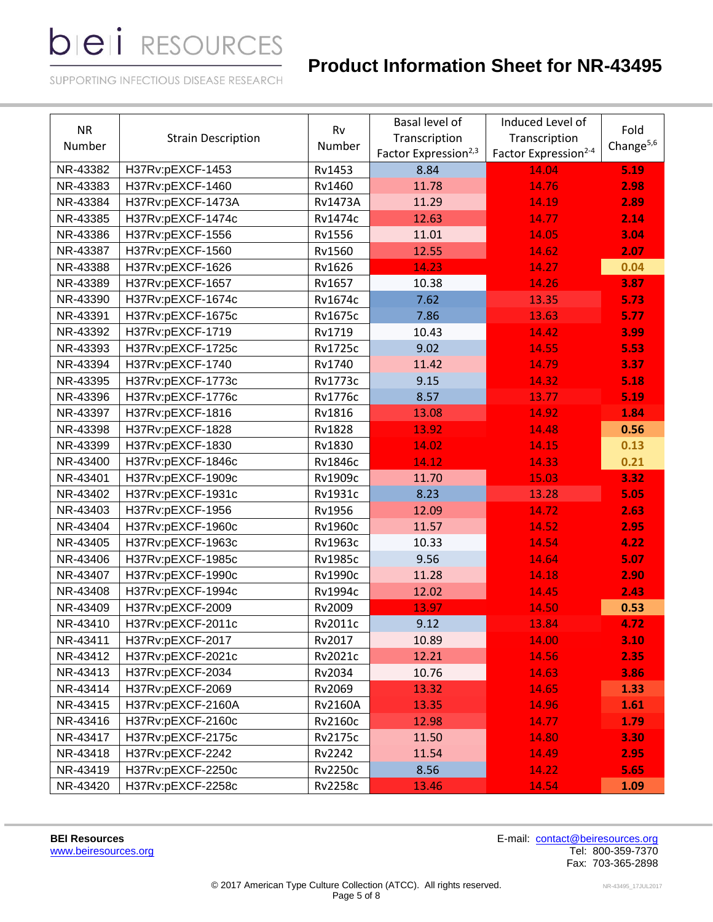# **Product Information Sheet for NR-43495**

SUPPORTING INFECTIOUS DISEASE RESEARCH

| <b>NR</b><br>Number | <b>Strain Description</b> | Rv<br>Number   | Basal level of<br>Transcription<br>Factor Expression <sup>2,3</sup> | Induced Level of<br>Transcription<br>Factor Expression <sup>2-4</sup> | Fold<br>Change $5,6$ |
|---------------------|---------------------------|----------------|---------------------------------------------------------------------|-----------------------------------------------------------------------|----------------------|
| NR-43382            | H37Rv:pEXCF-1453          | Rv1453<br>8.84 |                                                                     | 14.04                                                                 | 5.19                 |
| NR-43383            | H37Rv:pEXCF-1460          | Rv1460         | 11.78                                                               | 14.76                                                                 | 2.98                 |
| NR-43384            | H37Rv:pEXCF-1473A         | <b>Rv1473A</b> | 11.29                                                               | 14.19                                                                 | 2.89                 |
| NR-43385            | H37Rv:pEXCF-1474c         | Rv1474c        | 12.63                                                               | 14.77                                                                 | 2.14                 |
| NR-43386            | H37Rv:pEXCF-1556          | Rv1556         | 11.01                                                               | 14.05                                                                 | 3.04                 |
| NR-43387            | H37Rv:pEXCF-1560          | Rv1560         | 12.55                                                               | 14.62                                                                 | 2.07                 |
| NR-43388            | H37Rv:pEXCF-1626          | Rv1626         | 14.23                                                               | 14.27                                                                 | 0.04                 |
| NR-43389            | H37Rv:pEXCF-1657          | Rv1657         | 10.38                                                               | 14.26                                                                 | 3.87                 |
| NR-43390            | H37Rv:pEXCF-1674c         | Rv1674c        | 7.62                                                                | 13.35                                                                 | 5.73                 |
| NR-43391            | H37Rv:pEXCF-1675c         | <b>Rv1675c</b> | 7.86                                                                | 13.63                                                                 | 5.77                 |
| NR-43392            | H37Rv:pEXCF-1719          | Rv1719         | 10.43                                                               | 14.42                                                                 | 3.99                 |
| NR-43393            | H37Rv:pEXCF-1725c         | <b>Rv1725c</b> | 9.02                                                                | 14.55                                                                 | 5.53                 |
| NR-43394            | H37Rv:pEXCF-1740          | Rv1740         | 11.42                                                               | 14.79                                                                 | 3.37                 |
| NR-43395            | H37Rv:pEXCF-1773c         | <b>Rv1773c</b> | 9.15                                                                | 14.32                                                                 | 5.18                 |
| NR-43396            | H37Rv:pEXCF-1776c         | <b>Rv1776c</b> | 8.57                                                                | 13.77                                                                 | 5.19                 |
| NR-43397            | H37Rv:pEXCF-1816          | Rv1816         | 13.08                                                               | 14.92                                                                 | 1.84                 |
| NR-43398            | H37Rv:pEXCF-1828          | Rv1828         | 13.92                                                               | 14.48                                                                 | 0.56                 |
| NR-43399            | H37Rv:pEXCF-1830          | Rv1830         | 14.02                                                               | 14.15                                                                 | 0.13                 |
| NR-43400            | H37Rv:pEXCF-1846c         | <b>Rv1846c</b> | 14.12                                                               | 14.33                                                                 | 0.21                 |
| NR-43401            | H37Rv:pEXCF-1909c         | Rv1909c        | 11.70                                                               | 15.03                                                                 | 3.32                 |
| NR-43402            | H37Rv:pEXCF-1931c         | Rv1931c        | 8.23                                                                | 13.28                                                                 | 5.05                 |
| NR-43403            | H37Rv:pEXCF-1956          | Rv1956         | 12.09                                                               | 14.72                                                                 | 2.63                 |
| NR-43404            | H37Rv:pEXCF-1960c         | <b>Rv1960c</b> | 11.57                                                               | 14.52                                                                 | 2.95                 |
| NR-43405            | H37Rv:pEXCF-1963c         | Rv1963c        | 10.33                                                               | 14.54                                                                 | 4.22                 |
| NR-43406            | H37Rv:pEXCF-1985c         | <b>Rv1985c</b> | 9.56                                                                | 14.64                                                                 | 5.07                 |
| NR-43407            | H37Rv:pEXCF-1990c         | <b>Rv1990c</b> | 11.28                                                               | 14.18                                                                 | 2.90                 |
| NR-43408            | H37Rv:pEXCF-1994c         | Rv1994c        | 12.02                                                               | 14.45                                                                 | 2.43                 |
| NR-43409            | H37Rv:pEXCF-2009          | Rv2009         | 13.97                                                               | 14.50                                                                 | 0.53                 |
| NR-43410            | H37Rv:pEXCF-2011c         | Rv2011c        | 9.12                                                                | 13.84                                                                 | 4.72                 |
| NR-43411            | H37Rv:pEXCF-2017          | Rv2017         | 10.89                                                               | 14.00                                                                 | 3.10                 |
| NR-43412            | H37Rv:pEXCF-2021c         | Rv2021c        | 12.21                                                               | 14.56                                                                 | 2.35                 |
| NR-43413            | H37Rv:pEXCF-2034          | Rv2034         | 10.76                                                               | 14.63                                                                 | 3.86                 |
| NR-43414            | H37Rv:pEXCF-2069          | Rv2069         | 13.32                                                               | 14.65                                                                 | 1.33                 |
| NR-43415            | H37Rv:pEXCF-2160A         | <b>Rv2160A</b> | 13.35                                                               | 14.96                                                                 | 1.61                 |
| NR-43416            | H37Rv:pEXCF-2160c         | Rv2160c        | 12.98                                                               | 14.77                                                                 | 1.79                 |
| NR-43417            | H37Rv:pEXCF-2175c         | Rv2175c        | 11.50                                                               | 14.80                                                                 | 3.30                 |
| NR-43418            | H37Rv:pEXCF-2242          | Rv2242         | 11.54                                                               | 14.49                                                                 | 2.95                 |
| NR-43419            | H37Rv:pEXCF-2250c         | <b>Rv2250c</b> | 8.56                                                                | 14.22                                                                 | 5.65                 |
| NR-43420            | H37Rv:pEXCF-2258c         | <b>Rv2258c</b> | 13.46                                                               | 14.54                                                                 | 1.09                 |

[www.beiresources.org](http://www.beiresources.org/)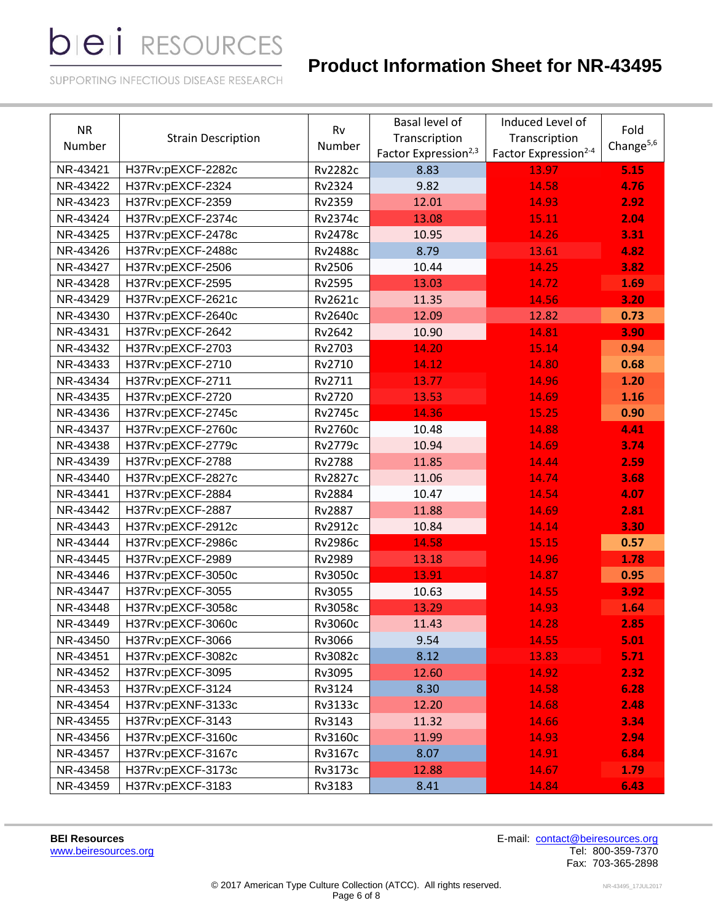# **Product Information Sheet for NR-43495**

SUPPORTING INFECTIOUS DISEASE RESEARCH

| <b>NR</b><br>Number | <b>Strain Description</b> | Basal level of<br>Rv<br>Transcription<br>Number<br>Factor Expression <sup>2,3</sup> |       | Induced Level of<br>Transcription<br>Factor Expression <sup>2-4</sup> | Fold<br>Change <sup>5,6</sup> |
|---------------------|---------------------------|-------------------------------------------------------------------------------------|-------|-----------------------------------------------------------------------|-------------------------------|
| NR-43421            | H37Rv:pEXCF-2282c         | <b>Rv2282c</b>                                                                      | 8.83  | 13.97                                                                 | 5.15                          |
| NR-43422            | H37Rv:pEXCF-2324          | Rv2324                                                                              | 9.82  | 14.58                                                                 | 4.76                          |
| NR-43423            | H37Rv:pEXCF-2359          | Rv2359                                                                              | 12.01 | 14.93                                                                 | 2.92                          |
| NR-43424            | H37Rv:pEXCF-2374c         | Rv2374c                                                                             | 13.08 | 15.11                                                                 | 2.04                          |
| NR-43425            | H37Rv:pEXCF-2478c         | <b>Rv2478c</b>                                                                      | 10.95 | 14.26                                                                 | 3.31                          |
| NR-43426            | H37Rv:pEXCF-2488c         | <b>Rv2488c</b>                                                                      | 8.79  | 13.61                                                                 | 4.82                          |
| NR-43427            | H37Rv:pEXCF-2506          | Rv2506                                                                              | 10.44 | 14.25                                                                 | 3.82                          |
| NR-43428            | H37Rv:pEXCF-2595          | Rv2595                                                                              | 13.03 | 14.72                                                                 | 1.69                          |
| NR-43429            | H37Rv:pEXCF-2621c         | Rv2621c                                                                             | 11.35 | 14.56                                                                 | 3.20                          |
| NR-43430            | H37Rv:pEXCF-2640c         | Rv2640c                                                                             | 12.09 | 12.82                                                                 | 0.73                          |
| NR-43431            | H37Rv:pEXCF-2642          | Rv2642                                                                              | 10.90 | 14.81                                                                 | 3.90                          |
| NR-43432            | H37Rv:pEXCF-2703          | Rv2703                                                                              | 14.20 | 15.14                                                                 | 0.94                          |
| NR-43433            | H37Rv:pEXCF-2710          | Rv2710                                                                              | 14.12 | 14.80                                                                 | 0.68                          |
| NR-43434            | H37Rv:pEXCF-2711          | Rv2711                                                                              | 13.77 | 14.96                                                                 | 1.20                          |
| NR-43435            | H37Rv:pEXCF-2720          | Rv2720                                                                              | 13.53 | 14.69                                                                 | 1.16                          |
| NR-43436            | H37Rv:pEXCF-2745c         | <b>Rv2745c</b>                                                                      | 14.36 | 15.25                                                                 | 0.90                          |
| NR-43437            | H37Rv:pEXCF-2760c         | <b>Rv2760c</b>                                                                      | 10.48 | 14.88                                                                 | 4.41                          |
| NR-43438            | H37Rv:pEXCF-2779c         | Rv2779c                                                                             | 10.94 | 14.69                                                                 | 3.74                          |
| NR-43439            | H37Rv:pEXCF-2788          | <b>Rv2788</b>                                                                       | 11.85 | 14.44                                                                 | 2.59                          |
| NR-43440            | H37Rv:pEXCF-2827c         | <b>Rv2827c</b>                                                                      | 11.06 | 14.74                                                                 | 3.68                          |
| NR-43441            | H37Rv:pEXCF-2884          | Rv2884                                                                              | 10.47 | 14.54                                                                 | 4.07                          |
| NR-43442            | H37Rv:pEXCF-2887          | Rv2887                                                                              | 11.88 | 14.69                                                                 | 2.81                          |
| NR-43443            | H37Rv:pEXCF-2912c         | Rv2912c                                                                             | 10.84 | 14.14                                                                 | 3.30                          |
| NR-43444            | H37Rv:pEXCF-2986c         | <b>Rv2986c</b>                                                                      | 14.58 | 15.15                                                                 | 0.57                          |
| NR-43445            | H37Rv:pEXCF-2989          | Rv2989                                                                              | 13.18 | 14.96                                                                 | 1.78                          |
| NR-43446            | H37Rv:pEXCF-3050c         | Rv3050c                                                                             | 13.91 | 14.87                                                                 | 0.95                          |
| NR-43447            | H37Rv:pEXCF-3055          | Rv3055                                                                              | 10.63 | 14.55                                                                 | 3.92                          |
| NR-43448            | H37Rv:pEXCF-3058c         | Rv3058c                                                                             | 13.29 | 14.93                                                                 | 1.64                          |
| NR-43449            | H37Rv:pEXCF-3060c         | Rv3060c                                                                             | 11.43 | 14.28                                                                 | 2.85                          |
| NR-43450            | H37Rv:pEXCF-3066          | Rv3066                                                                              | 9.54  | 14.55                                                                 | 5.01                          |
| NR-43451            | H37Rv:pEXCF-3082c         | Rv3082c                                                                             | 8.12  | 13.83                                                                 | 5.71                          |
| NR-43452            | H37Rv:pEXCF-3095          | Rv3095                                                                              | 12.60 | 14.92                                                                 | 2.32                          |
| NR-43453            | H37Rv:pEXCF-3124          | Rv3124                                                                              | 8.30  | 14.58                                                                 | 6.28                          |
| NR-43454            | H37Rv:pEXNF-3133c         | Rv3133c                                                                             | 12.20 | 14.68                                                                 | 2.48                          |
| NR-43455            | H37Rv:pEXCF-3143          | Rv3143                                                                              | 11.32 | 14.66                                                                 | 3.34                          |
| NR-43456            | H37Rv:pEXCF-3160c         | Rv3160c                                                                             | 11.99 | 14.93                                                                 | 2.94                          |
| NR-43457            | H37Rv:pEXCF-3167c         | Rv3167c                                                                             | 8.07  | 14.91                                                                 | 6.84                          |
| NR-43458            | H37Rv:pEXCF-3173c         | Rv3173c                                                                             | 12.88 | 14.67                                                                 | 1.79                          |
| NR-43459            | H37Rv:pEXCF-3183          | Rv3183                                                                              | 8.41  | 14.84                                                                 | 6.43                          |

[www.beiresources.org](http://www.beiresources.org/)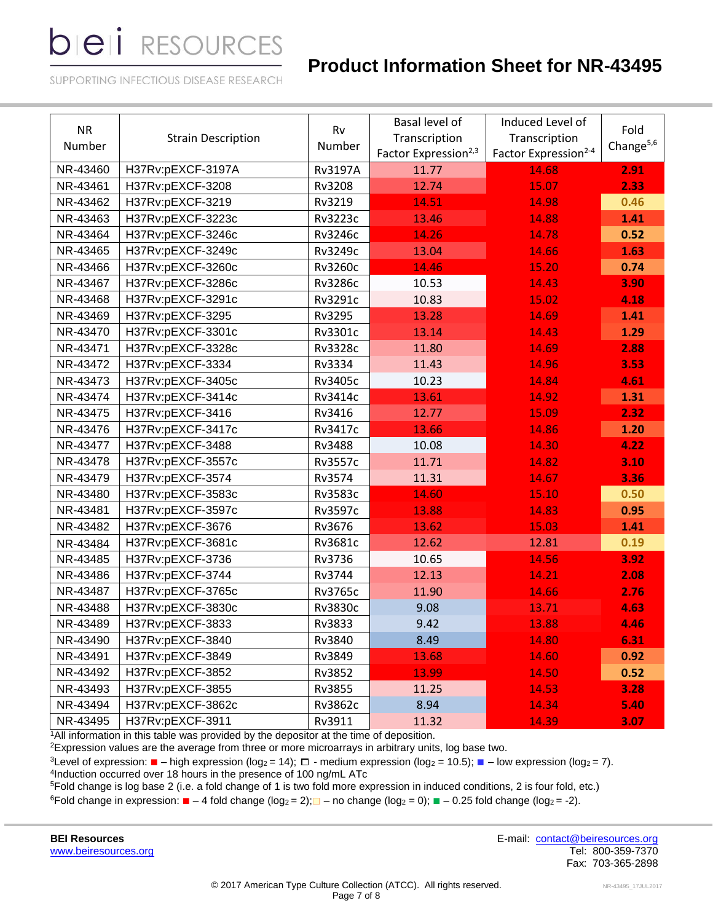# **Product Information Sheet for NR-43495**

SUPPORTING INFECTIOUS DISEASE RESEARCH

| <b>NR</b><br>Number | <b>Strain Description</b> | Rv<br>Number   | Basal level of<br>Transcription<br>Factor Expression <sup>2,3</sup> | Induced Level of<br>Transcription<br>Factor Expression <sup>2-4</sup> | Fold<br>Change <sup>5,6</sup> |
|---------------------|---------------------------|----------------|---------------------------------------------------------------------|-----------------------------------------------------------------------|-------------------------------|
| NR-43460            | H37Rv:pEXCF-3197A         | <b>Rv3197A</b> | 11.77                                                               | 14.68                                                                 | 2.91                          |
| NR-43461            | H37Rv:pEXCF-3208          | Rv3208         | 12.74                                                               | 15.07                                                                 | 2.33                          |
| NR-43462            | H37Rv:pEXCF-3219          | Rv3219         | 14.51                                                               | 14.98                                                                 | 0.46                          |
| NR-43463            | H37Rv:pEXCF-3223c         | Rv3223c        | 13.46                                                               | 14.88                                                                 | 1.41                          |
| NR-43464            | H37Rv:pEXCF-3246c         | Rv3246c        | 14.26                                                               | 14.78                                                                 | 0.52                          |
| NR-43465            | H37Rv:pEXCF-3249c         | Rv3249c        | 13.04                                                               | 14.66                                                                 | 1.63                          |
| NR-43466            | H37Rv:pEXCF-3260c         | Rv3260c        | 14.46                                                               | 15.20                                                                 | 0.74                          |
| NR-43467            | H37Rv:pEXCF-3286c         | <b>Rv3286c</b> | 10.53                                                               | 14.43                                                                 | 3.90                          |
| NR-43468            | H37Rv:pEXCF-3291c         | Rv3291c        | 10.83                                                               | 15.02                                                                 | 4.18                          |
| NR-43469            | H37Rv:pEXCF-3295          | Rv3295         | 13.28                                                               | 14.69                                                                 | 1.41                          |
| NR-43470            | H37Rv:pEXCF-3301c         | Rv3301c        | 13.14                                                               | 14.43                                                                 | 1.29                          |
| NR-43471            | H37Rv:pEXCF-3328c         | <b>Rv3328c</b> | 11.80                                                               | 14.69                                                                 | 2.88                          |
| NR-43472            | H37Rv:pEXCF-3334          | Rv3334         | 11.43                                                               | 14.96                                                                 | 3.53                          |
| NR-43473            | H37Rv:pEXCF-3405c         | Rv3405c        | 10.23                                                               | 14.84                                                                 | 4.61                          |
| NR-43474            | H37Rv:pEXCF-3414c         | Rv3414c        | 13.61                                                               | 14.92                                                                 | 1.31                          |
| NR-43475            | H37Rv:pEXCF-3416          | Rv3416         | 12.77                                                               | 15.09                                                                 | 2.32                          |
| NR-43476            | H37Rv:pEXCF-3417c         | Rv3417c        | 13.66                                                               | 14.86                                                                 | 1.20                          |
| NR-43477            | H37Rv:pEXCF-3488          | Rv3488         | 10.08                                                               | 14.30                                                                 | 4.22                          |
| NR-43478            | H37Rv:pEXCF-3557c         | Rv3557c        | 11.71                                                               | 14.82                                                                 | 3.10                          |
| NR-43479            | H37Rv:pEXCF-3574          | Rv3574         | 11.31                                                               | 14.67                                                                 | 3.36                          |
| NR-43480            | H37Rv:pEXCF-3583c         | Rv3583c        | 14.60                                                               | 15.10                                                                 | 0.50                          |
| NR-43481            | H37Rv:pEXCF-3597c         | Rv3597c        | 13.88                                                               | 14.83                                                                 | 0.95                          |
| NR-43482            | H37Rv:pEXCF-3676          | Rv3676         | 13.62                                                               | 15.03                                                                 | 1.41                          |
| NR-43484            | H37Rv:pEXCF-3681c         | Rv3681c        | 12.62                                                               | 12.81                                                                 | 0.19                          |
| NR-43485            | H37Rv:pEXCF-3736          | Rv3736         | 10.65                                                               | 14.56                                                                 | 3.92                          |
| NR-43486            | H37Rv:pEXCF-3744          | Rv3744         | 12.13                                                               | 14.21                                                                 | 2.08                          |
| NR-43487            | H37Rv:pEXCF-3765c         | Rv3765c        | 11.90                                                               | 14.66                                                                 | 2.76                          |
| NR-43488            | H37Rv:pEXCF-3830c         | Rv3830c        | 9.08                                                                | 13.71                                                                 | 4.63                          |
| NR-43489            | H37Rv:pEXCF-3833          | Rv3833         | 9.42                                                                | 13.88                                                                 | 4.46                          |
| NR-43490            | H37Rv:pEXCF-3840          | Rv3840         | 8.49                                                                | 14.80                                                                 | 6.31                          |
| NR-43491            | H37Rv:pEXCF-3849          | Rv3849         | 13.68                                                               | 14.60                                                                 | 0.92                          |
| NR-43492            | H37Rv:pEXCF-3852          | Rv3852         | 13.99                                                               | 14.50                                                                 | 0.52                          |
| NR-43493            | H37Rv:pEXCF-3855          | Rv3855         | 11.25                                                               | 14.53                                                                 | 3.28                          |
| NR-43494            | H37Rv:pEXCF-3862c         | Rv3862c        | 8.94                                                                | 14.34                                                                 | 5.40                          |
| NR-43495            | H37Rv:pEXCF-3911          | Rv3911         | 11.32                                                               | 14.39                                                                 | 3.07                          |

<sup>1</sup>All information in this table was provided by the depositor at the time of deposition.

 $2$ Expression values are the average from three or more microarrays in arbitrary units, log base two.

<sup>3</sup>Level of expression: ■ – high expression (log<sub>2</sub> = 14);  $\Box$  - medium expression (log<sub>2</sub> = 10.5); ■ – low expression (log<sub>2</sub> = 7). 4 Induction occurred over 18 hours in the presence of 100 ng/mL ATc

<sup>5</sup>Fold change is log base 2 (i.e. a fold change of 1 is two fold more expression in induced conditions, 2 is four fold, etc.) 6Fold change in expression:  $\blacksquare - 4$  fold change (log<sub>2</sub> = 2); $\blacksquare$  – no change (log<sub>2</sub> = 0);  $\blacksquare - 0.25$  fold change (log<sub>2</sub> = -2).

[www.beiresources.org](http://www.beiresources.org/)

**BEI Resources** E-mail: [contact@beiresources.org](mailto:contact@beiresources.org) Fax: 703-365-2898